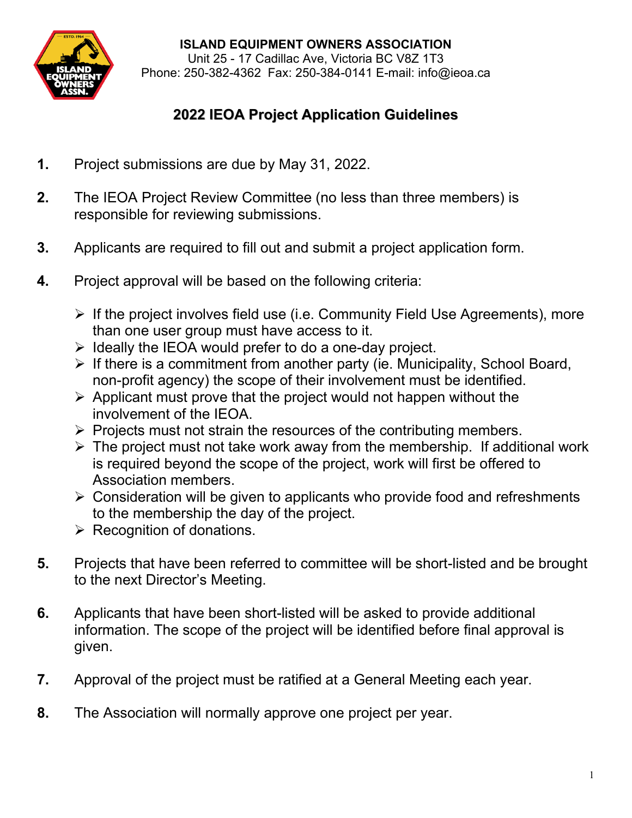

**ISLAND EQUIPMENT OWNERS ASSOCIATION**

Unit 25 - 17 Cadillac Ave, Victoria BC V8Z 1T3 Phone: 250-382-4362 Fax: 250-384-0141 E-mail: [info@ieoa.ca](mailto:ieoa@shaw.ca)

## **2022 IEOA Project Application Guidelines**

- **1.** Project submissions are due by May 31, 2022.
- **2.** The IEOA Project Review Committee (no less than three members) is responsible for reviewing submissions.
- **3.** Applicants are required to fill out and submit a project application form.
- **4.** Project approval will be based on the following criteria:
	- $\triangleright$  If the project involves field use (i.e. Community Field Use Agreements), more than one user group must have access to it.
	- $\triangleright$  Ideally the IEOA would prefer to do a one-day project.
	- $\triangleright$  If there is a commitment from another party (ie. Municipality, School Board, non-profit agency) the scope of their involvement must be identified.
	- $\triangleright$  Applicant must prove that the project would not happen without the involvement of the IEOA.
	- $\triangleright$  Projects must not strain the resources of the contributing members.
	- $\triangleright$  The project must not take work away from the membership. If additional work is required beyond the scope of the project, work will first be offered to Association members.
	- $\triangleright$  Consideration will be given to applicants who provide food and refreshments to the membership the day of the project.
	- $\triangleright$  Recognition of donations.
- **5.** Projects that have been referred to committee will be short-listed and be brought to the next Director's Meeting.
- **6.** Applicants that have been short-listed will be asked to provide additional information. The scope of the project will be identified before final approval is given.
- **7.** Approval of the project must be ratified at a General Meeting each year.
- **8.** The Association will normally approve one project per year.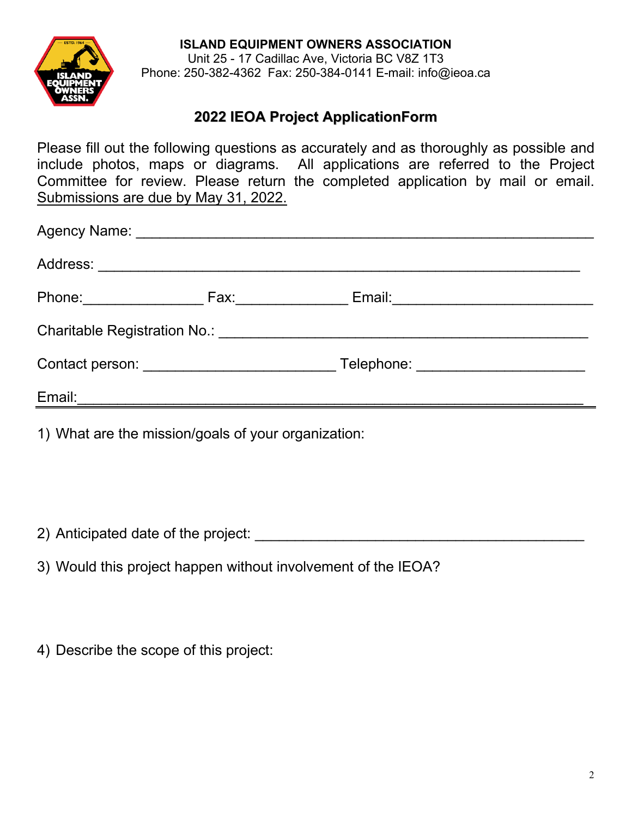**ISLAND EQUIPMENT OWNERS ASSOCIATION**



Unit 25 - 17 Cadillac Ave, Victoria BC V8Z 1T3 Phone: 250-382-4362 Fax: 250-384-0141 E-mail: [info@ieoa.ca](mailto:ieoa@shaw.ca)

## **2022 IEOA Project ApplicationForm**

Please fill out the following questions as accurately and as thoroughly as possible and include photos, maps or diagrams. All applications are referred to the Project Committee for review. Please return the completed application by mail or email. Submissions are due by May 31, 2022.

| Phone: _______________ | Fax: ________ | Email: ________________________                                 |  |
|------------------------|---------------|-----------------------------------------------------------------|--|
|                        |               | Charitable Registration No.: \\concess_name=\\concess{\math}}\$ |  |
|                        |               | Telephone: ________________________                             |  |
| Email:                 |               |                                                                 |  |
|                        |               |                                                                 |  |

1) What are the mission/goals of your organization:

2) Anticipated date of the project:

3) Would this project happen without involvement of the IEOA?

4) Describe the scope of this project: